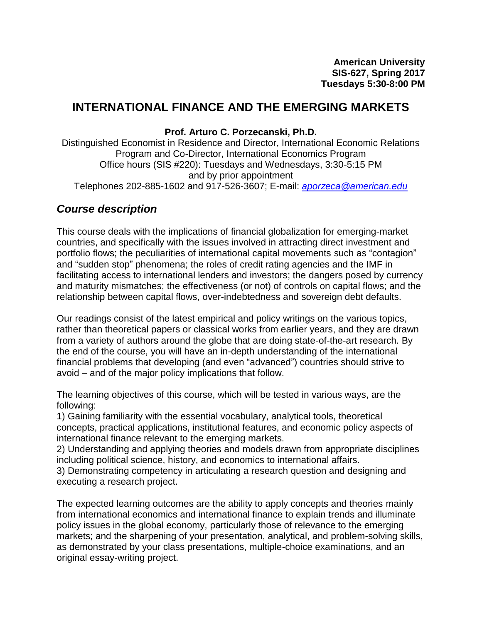# **INTERNATIONAL FINANCE AND THE EMERGING MARKETS**

#### **Prof. Arturo C. Porzecanski, Ph.D.**

Distinguished Economist in Residence and Director, International Economic Relations Program and Co-Director, International Economics Program Office hours (SIS #220): Tuesdays and Wednesdays, 3:30-5:15 PM and by prior appointment Telephones 202-885-1602 and 917-526-3607; E-mail: *[aporzeca@american.edu](mailto:aporzeca@american.edu)*

## *Course description*

This course deals with the implications of financial globalization for emerging-market countries, and specifically with the issues involved in attracting direct investment and portfolio flows; the peculiarities of international capital movements such as "contagion" and "sudden stop" phenomena; the roles of credit rating agencies and the IMF in facilitating access to international lenders and investors; the dangers posed by currency and maturity mismatches; the effectiveness (or not) of controls on capital flows; and the relationship between capital flows, over-indebtedness and sovereign debt defaults.

Our readings consist of the latest empirical and policy writings on the various topics, rather than theoretical papers or classical works from earlier years, and they are drawn from a variety of authors around the globe that are doing state-of-the-art research. By the end of the course, you will have an in-depth understanding of the international financial problems that developing (and even "advanced") countries should strive to avoid – and of the major policy implications that follow.

The learning objectives of this course, which will be tested in various ways, are the following:

1) Gaining familiarity with the essential vocabulary, analytical tools, theoretical concepts, practical applications, institutional features, and economic policy aspects of international finance relevant to the emerging markets.

2) Understanding and applying theories and models drawn from appropriate disciplines including political science, history, and economics to international affairs.

3) Demonstrating competency in articulating a research question and designing and executing a research project.

The expected learning outcomes are the ability to apply concepts and theories mainly from international economics and international finance to explain trends and illuminate policy issues in the global economy, particularly those of relevance to the emerging markets; and the sharpening of your presentation, analytical, and problem-solving skills, as demonstrated by your class presentations, multiple-choice examinations, and an original essay-writing project.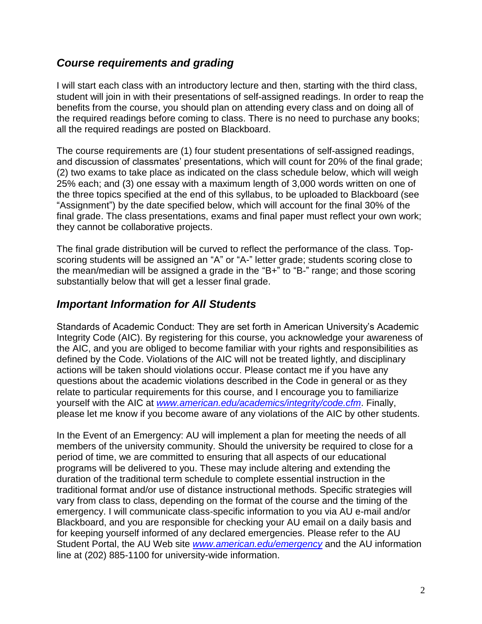# *Course requirements and grading*

I will start each class with an introductory lecture and then, starting with the third class, student will join in with their presentations of self-assigned readings. In order to reap the benefits from the course, you should plan on attending every class and on doing all of the required readings before coming to class. There is no need to purchase any books; all the required readings are posted on Blackboard.

The course requirements are (1) four student presentations of self-assigned readings, and discussion of classmates' presentations, which will count for 20% of the final grade; (2) two exams to take place as indicated on the class schedule below, which will weigh 25% each; and (3) one essay with a maximum length of 3,000 words written on one of the three topics specified at the end of this syllabus, to be uploaded to Blackboard (see "Assignment") by the date specified below, which will account for the final 30% of the final grade. The class presentations, exams and final paper must reflect your own work; they cannot be collaborative projects.

The final grade distribution will be curved to reflect the performance of the class. Topscoring students will be assigned an "A" or "A-" letter grade; students scoring close to the mean/median will be assigned a grade in the "B+" to "B-" range; and those scoring substantially below that will get a lesser final grade.

# *Important Information for All Students*

Standards of Academic Conduct: They are set forth in American University's Academic Integrity Code (AIC). By registering for this course, you acknowledge your awareness of the AIC, and you are obliged to become familiar with your rights and responsibilities as defined by the Code. Violations of the AIC will not be treated lightly, and disciplinary actions will be taken should violations occur. Please contact me if you have any questions about the academic violations described in the Code in general or as they relate to particular requirements for this course, and I encourage you to familiarize yourself with the AIC at *[www.american.edu/academics/integrity/code.cfm](http://www.american.edu/academics/integrity/code.cfm)*. Finally, please let me know if you become aware of any violations of the AIC by other students.

In the Event of an Emergency: AU will implement a plan for meeting the needs of all members of the university community. Should the university be required to close for a period of time, we are committed to ensuring that all aspects of our educational programs will be delivered to you. These may include altering and extending the duration of the traditional term schedule to complete essential instruction in the traditional format and/or use of distance instructional methods. Specific strategies will vary from class to class, depending on the format of the course and the timing of the emergency. I will communicate class-specific information to you via AU e-mail and/or Blackboard, and you are responsible for checking your AU email on a daily basis and for keeping yourself informed of any declared emergencies. Please refer to the AU Student Portal, the AU Web site *[www.american.edu/emergency](http://www.american.edu/emergency)* and the AU information line at (202) 885-1100 for university-wide information.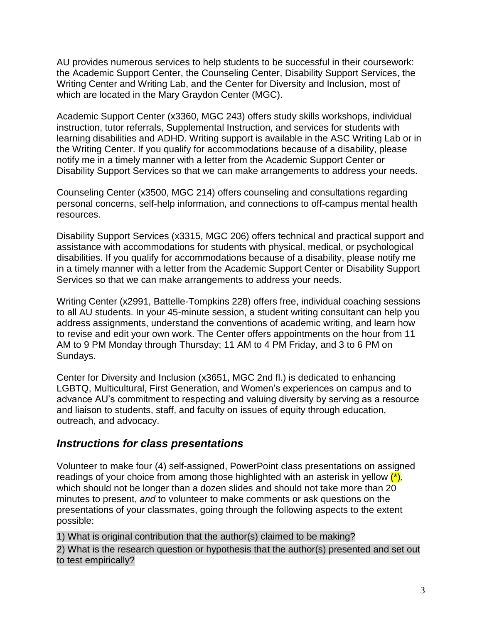AU provides numerous services to help students to be successful in their coursework: the Academic Support Center, the Counseling Center, Disability Support Services, the Writing Center and Writing Lab, and the Center for Diversity and Inclusion, most of which are located in the Mary Graydon Center (MGC).

Academic Support Center (x3360, MGC 243) offers study skills workshops, individual instruction, tutor referrals, Supplemental Instruction, and services for students with learning disabilities and ADHD. Writing support is available in the ASC Writing Lab or in the Writing Center. If you qualify for accommodations because of a disability, please notify me in a timely manner with a letter from the Academic Support Center or Disability Support Services so that we can make arrangements to address your needs.

Counseling Center (x3500, MGC 214) offers counseling and consultations regarding personal concerns, self-help information, and connections to off-campus mental health resources.

Disability Support Services (x3315, MGC 206) offers technical and practical support and assistance with accommodations for students with physical, medical, or psychological disabilities. If you qualify for accommodations because of a disability, please notify me in a timely manner with a letter from the Academic Support Center or Disability Support Services so that we can make arrangements to address your needs.

Writing Center (x2991, Battelle-Tompkins 228) offers free, individual coaching sessions to all AU students. In your 45-minute session, a student writing consultant can help you address assignments, understand the conventions of academic writing, and learn how to revise and edit your own work. The Center offers appointments on the hour from 11 AM to 9 PM Monday through Thursday; 11 AM to 4 PM Friday, and 3 to 6 PM on Sundays.

Center for Diversity and Inclusion (x3651, MGC 2nd fl.) is dedicated to enhancing LGBTQ, Multicultural, First Generation, and Women's experiences on campus and to advance AU's commitment to respecting and valuing diversity by serving as a resource and liaison to students, staff, and faculty on issues of equity through education, outreach, and advocacy.

# *Instructions for class presentations*

Volunteer to make four (4) self-assigned, PowerPoint class presentations on assigned readings of your choice from among those highlighted with an asterisk in yellow  $(*)$ , which should not be longer than a dozen slides and should not take more than 20 minutes to present, *and* to volunteer to make comments or ask questions on the presentations of your classmates, going through the following aspects to the extent possible:

1) What is original contribution that the author(s) claimed to be making?

2) What is the research question or hypothesis that the author(s) presented and set out to test empirically?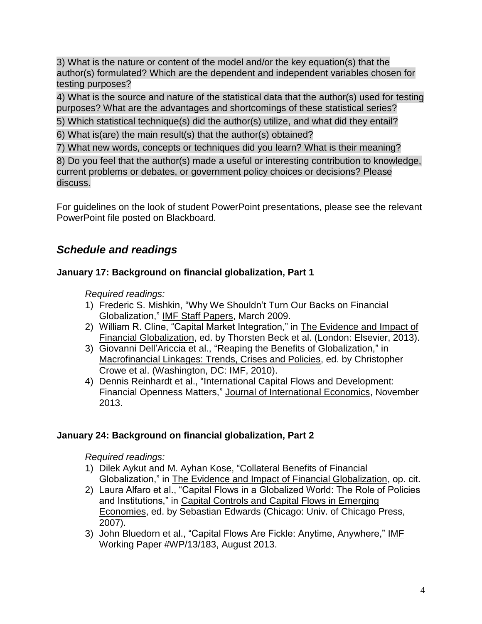3) What is the nature or content of the model and/or the key equation(s) that the author(s) formulated? Which are the dependent and independent variables chosen for testing purposes?

4) What is the source and nature of the statistical data that the author(s) used for testing purposes? What are the advantages and shortcomings of these statistical series?

5) Which statistical technique(s) did the author(s) utilize, and what did they entail?

6) What is(are) the main result(s) that the author(s) obtained?

7) What new words, concepts or techniques did you learn? What is their meaning?

8) Do you feel that the author(s) made a useful or interesting contribution to knowledge, current problems or debates, or government policy choices or decisions? Please discuss.

For guidelines on the look of student PowerPoint presentations, please see the relevant PowerPoint file posted on Blackboard.

# *Schedule and readings*

# **January 17: Background on financial globalization, Part 1**

*Required readings:*

- 1) Frederic S. Mishkin, "Why We Shouldn't Turn Our Backs on Financial Globalization," IMF Staff Papers, March 2009.
- 2) William R. Cline, "Capital Market Integration," in The Evidence and Impact of Financial Globalization, ed. by Thorsten Beck et al. (London: Elsevier, 2013).
- 3) Giovanni Dell'Ariccia et al., "Reaping the Benefits of Globalization," in Macrofinancial Linkages: Trends, Crises and Policies, ed. by Christopher Crowe et al. (Washington, DC: IMF, 2010).
- 4) Dennis Reinhardt et al., "International Capital Flows and Development: Financial Openness Matters," Journal of International Economics, November 2013.

## **January 24: Background on financial globalization, Part 2**

- 1) Dilek Aykut and M. Ayhan Kose, "Collateral Benefits of Financial Globalization," in The Evidence and Impact of Financial Globalization, op. cit.
- 2) Laura Alfaro et al., "Capital Flows in a Globalized World: The Role of Policies and Institutions," in Capital Controls and Capital Flows in Emerging Economies, ed. by Sebastian Edwards (Chicago: Univ. of Chicago Press, 2007).
- 3) John Bluedorn et al., "Capital Flows Are Fickle: Anytime, Anywhere," IMF Working Paper #WP/13/183, August 2013.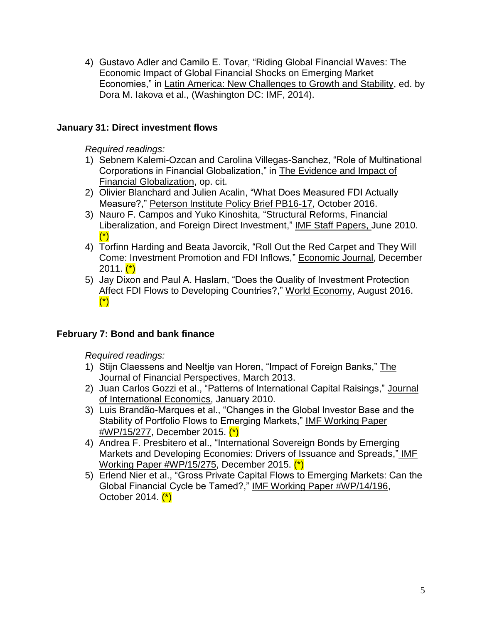4) Gustavo Adler and Camilo E. Tovar, "Riding Global Financial Waves: The Economic Impact of Global Financial Shocks on Emerging Market Economies," in Latin America: New Challenges to Growth and Stability, ed. by Dora M. Iakova et al., (Washington DC: IMF, 2014).

## **January 31: Direct investment flows**

*Required readings:*

- 1) Sebnem Kalemi-Ozcan and Carolina Villegas-Sanchez, "Role of Multinational Corporations in Financial Globalization," in The Evidence and Impact of Financial Globalization, op. cit.
- 2) Olivier Blanchard and Julien Acalin, "What Does Measured FDI Actually Measure?," Peterson Institute Policy Brief PB16-17, October 2016.
- 3) Nauro F. Campos and Yuko Kinoshita, "Structural Reforms, Financial Liberalization, and Foreign Direct Investment," IMF Staff Papers, June 2010. (\*)
- 4) Torfinn Harding and Beata Javorcik, "Roll Out the Red Carpet and They Will Come: Investment Promotion and FDI Inflows," Economic Journal, December  $2011.$   $(*)$
- 5) Jay Dixon and Paul A. Haslam, "Does the Quality of Investment Protection Affect FDI Flows to Developing Countries?," World Economy, August 2016. (\*)

## **February 7: Bond and bank finance**

- 1) Stijn Claessens and Neeltje van Horen, "Impact of Foreign Banks," The Journal of Financial Perspectives, March 2013.
- 2) Juan Carlos Gozzi et al., "Patterns of International Capital Raisings," Journal of International Economics, January 2010.
- 3) Luis Brandão-Marques et al., "Changes in the Global Investor Base and the Stability of Portfolio Flows to Emerging Markets," IMF Working Paper #WP/15/277, December 2015. (\*)
- 4) Andrea F. Presbitero et al., "International Sovereign Bonds by Emerging Markets and Developing Economies: Drivers of Issuance and Spreads," IMF Working Paper #WP/15/275, December 2015. (\*)
- 5) Erlend Nier et al., "Gross Private Capital Flows to Emerging Markets: Can the Global Financial Cycle be Tamed?," IMF Working Paper #WP/14/196, October 2014. (\*)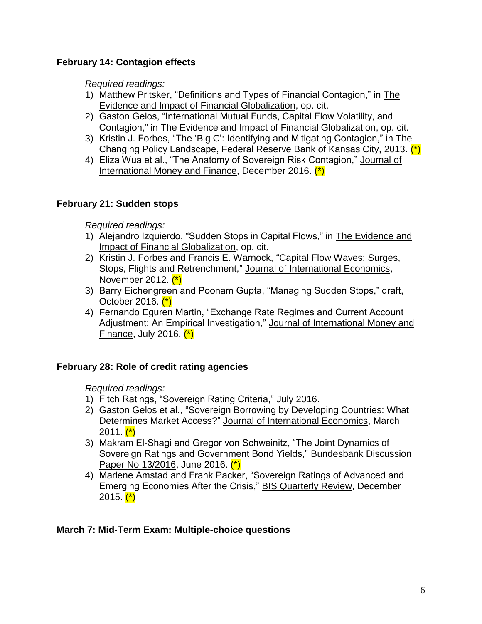## **February 14: Contagion effects**

*Required readings:*

- 1) Matthew Pritsker, "Definitions and Types of Financial Contagion," in The Evidence and Impact of Financial Globalization, op. cit.
- 2) Gaston Gelos, "International Mutual Funds, Capital Flow Volatility, and Contagion," in The Evidence and Impact of Financial Globalization, op. cit.
- 3) Kristin J. Forbes, "The 'Big C': Identifying and Mitigating Contagion," in The Changing Policy Landscape, Federal Reserve Bank of Kansas City, 2013. (\*)
- 4) Eliza Wua et al., "The Anatomy of Sovereign Risk Contagion," Journal of International Money and Finance, December 2016. (\*)

## **February 21: Sudden stops**

*Required readings:*

- 1) Alejandro Izquierdo, "Sudden Stops in Capital Flows," in The Evidence and Impact of Financial Globalization, op. cit.
- 2) Kristin J. Forbes and Francis E. Warnock, "Capital Flow Waves: Surges, Stops, Flights and Retrenchment," Journal of International Economics, November 2012.  $(*)$
- 3) Barry Eichengreen and Poonam Gupta, "Managing Sudden Stops," draft, October 2016. (\*)
- 4) Fernando Eguren Martin, "Exchange Rate Regimes and Current Account Adjustment: An Empirical Investigation," Journal of International Money and Finance, July 2016.  $(*)$

## **February 28: Role of credit rating agencies**

*Required readings:*

- 1) Fitch Ratings, "Sovereign Rating Criteria," July 2016.
- 2) Gaston Gelos et al., "Sovereign Borrowing by Developing Countries: What Determines Market Access?" Journal of International Economics, March  $2011.$   $(*)$
- 3) Makram El-Shagi and Gregor von Schweinitz, "The Joint Dynamics of Sovereign Ratings and Government Bond Yields," Bundesbank Discussion Paper No 13/2016, June 2016. (\*)
- 4) Marlene Amstad and Frank Packer, "Sovereign Ratings of Advanced and Emerging Economies After the Crisis," BIS Quarterly Review, December 2015.  $(*)$

## **March 7: Mid-Term Exam: Multiple-choice questions**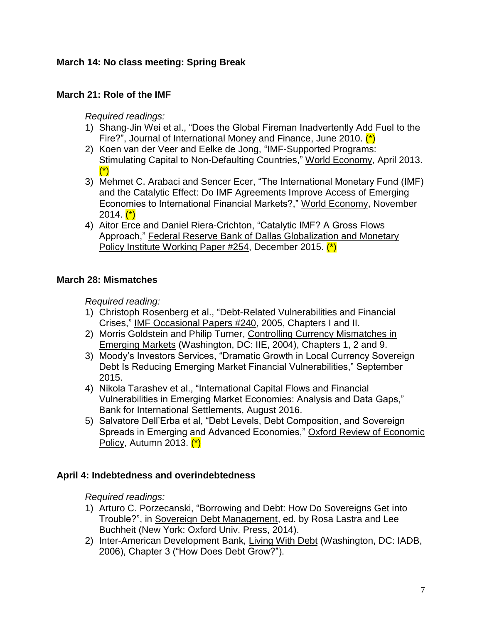## **March 14: No class meeting: Spring Break**

#### **March 21: Role of the IMF**

*Required readings:*

- 1) Shang-Jin Wei et al., "Does the Global Fireman Inadvertently Add Fuel to the Fire?", Journal of International Money and Finance, June 2010. (\*)
- 2) Koen van der Veer and Eelke de Jong, "IMF-Supported Programs: Stimulating Capital to Non-Defaulting Countries," World Economy, April 2013. (\*)
- 3) Mehmet C. Arabaci and Sencer Ecer, "The International Monetary Fund (IMF) and the Catalytic Effect: Do IMF Agreements Improve Access of Emerging Economies to International Financial Markets?," World Economy, November  $2014.$   $(*)$
- 4) Aitor Erce and Daniel Riera-Crichton, "Catalytic IMF? A Gross Flows Approach," Federal Reserve Bank of Dallas Globalization and Monetary Policy Institute Working Paper #254, December 2015. (\*)

#### **March 28: Mismatches**

*Required reading:* 

- 1) Christoph Rosenberg et al., "Debt-Related Vulnerabilities and Financial Crises," IMF Occasional Papers #240, 2005, Chapters I and II.
- 2) Morris Goldstein and Philip Turner, Controlling Currency Mismatches in Emerging Markets (Washington, DC: IIE, 2004), Chapters 1, 2 and 9.
- 3) Moody's Investors Services, "Dramatic Growth in Local Currency Sovereign Debt Is Reducing Emerging Market Financial Vulnerabilities," September 2015.
- 4) Nikola Tarashev et al., "International Capital Flows and Financial Vulnerabilities in Emerging Market Economies: Analysis and Data Gaps," Bank for International Settlements, August 2016.
- 5) Salvatore Dell'Erba et al, "Debt Levels, Debt Composition, and Sovereign Spreads in Emerging and Advanced Economies," Oxford Review of Economic Policy, Autumn 2013. (\*)

#### **April 4: Indebtedness and overindebtedness**

- 1) Arturo C. Porzecanski, "Borrowing and Debt: How Do Sovereigns Get into Trouble?", in Sovereign Debt Management, ed. by Rosa Lastra and Lee Buchheit (New York: Oxford Univ. Press, 2014).
- 2) Inter-American Development Bank, Living With Debt (Washington, DC: IADB, 2006), Chapter 3 ("How Does Debt Grow?").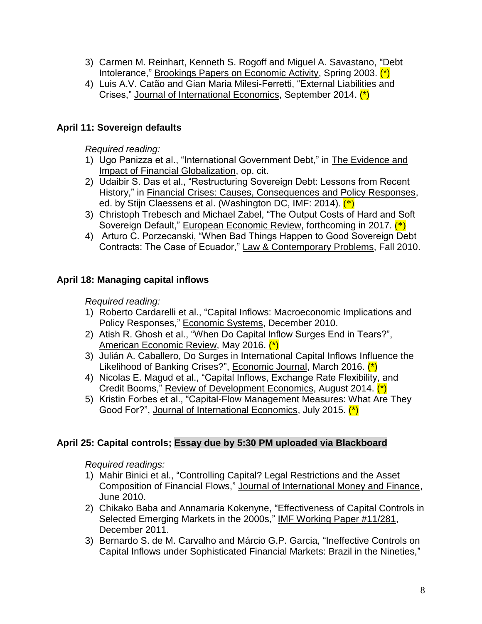- 3) Carmen M. Reinhart, Kenneth S. Rogoff and Miguel A. Savastano, "Debt Intolerance," Brookings Papers on Economic Activity, Spring 2003. (\*)
- 4) Luis A.V. Catão and Gian Maria Milesi-Ferretti, "External Liabilities and Crises," Journal of International Economics, September 2014. (\*)

## **April 11: Sovereign defaults**

*Required reading:*

- 1) Ugo Panizza et al., "International Government Debt," in The Evidence and Impact of Financial Globalization, op. cit.
- 2) Udaibir S. Das et al., "Restructuring Sovereign Debt: Lessons from Recent History," in Financial Crises: Causes, Consequences and Policy Responses, ed. by Stijn Claessens et al. (Washington DC, IMF: 2014). (\*)
- 3) Christoph Trebesch and Michael Zabel, "The Output Costs of Hard and Soft Sovereign Default," European Economic Review, forthcoming in 2017. (\*)
- 4) Arturo C. Porzecanski, "When Bad Things Happen to Good Sovereign Debt Contracts: The Case of Ecuador," Law & Contemporary Problems, Fall 2010.

## **April 18: Managing capital inflows**

*Required reading:*

- 1) Roberto Cardarelli et al., "Capital Inflows: Macroeconomic Implications and Policy Responses," Economic Systems, December 2010.
- 2) Atish R. Ghosh et al., "When Do Capital Inflow Surges End in Tears?", American Economic Review, May 2016. (\*)
- 3) Julián A. Caballero, Do Surges in International Capital Inflows Influence the Likelihood of Banking Crises?", Economic Journal, March 2016. (\*)
- 4) Nicolas E. Magud et al., "Capital Inflows, Exchange Rate Flexibility, and Credit Booms," Review of Development Economics, August 2014. (\*)
- 5) Kristin Forbes et al., "Capital-Flow Management Measures: What Are They Good For?", Journal of International Economics, July 2015. (\*)

#### **April 25: Capital controls; Essay due by 5:30 PM uploaded via Blackboard**

- 1) Mahir Binici et al., "Controlling Capital? Legal Restrictions and the Asset Composition of Financial Flows," Journal of International Money and Finance, June 2010.
- 2) Chikako Baba and Annamaria Kokenyne, "Effectiveness of Capital Controls in Selected Emerging Markets in the 2000s," IMF Working Paper #11/281, December 2011.
- 3) Bernardo S. de M. Carvalho and Márcio G.P. Garcia, "Ineffective Controls on Capital Inflows under Sophisticated Financial Markets: Brazil in the Nineties,"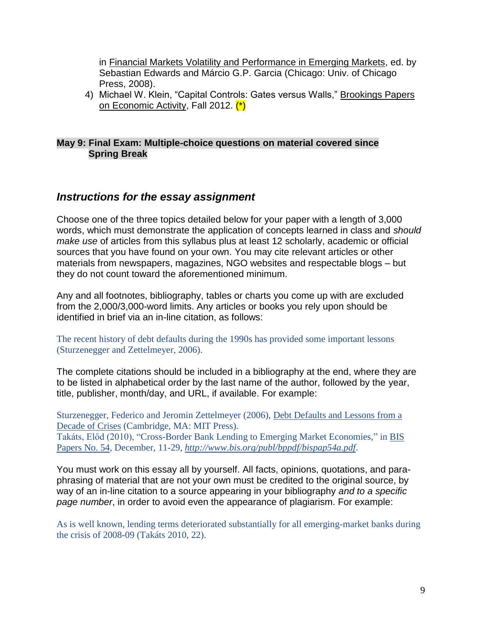in Financial Markets Volatility and Performance in Emerging Markets, ed. by Sebastian Edwards and Márcio G.P. Garcia (Chicago: Univ. of Chicago Press, 2008).

4) Michael W. Klein, "Capital Controls: Gates versus Walls," Brookings Papers on Economic Activity, Fall 2012. (\*)

#### **May 9: Final Exam: Multiple-choice questions on material covered since Spring Break**

## *Instructions for the essay assignment*

Choose one of the three topics detailed below for your paper with a length of 3,000 words, which must demonstrate the application of concepts learned in class and *should make use* of articles from this syllabus plus at least 12 scholarly, academic or official sources that you have found on your own. You may cite relevant articles or other materials from newspapers, magazines, NGO websites and respectable blogs – but they do not count toward the aforementioned minimum.

Any and all footnotes, bibliography, tables or charts you come up with are excluded from the 2,000/3,000-word limits. Any articles or books you rely upon should be identified in brief via an in-line citation, as follows:

The recent history of debt defaults during the 1990s has provided some important lessons (Sturzenegger and Zettelmeyer, 2006).

The complete citations should be included in a bibliography at the end, where they are to be listed in alphabetical order by the last name of the author, followed by the year, title, publisher, month/day, and URL, if available. For example:

Sturzenegger, Federico and Jeromin Zettelmeyer (2006), Debt Defaults and Lessons from a Decade of Crises (Cambridge, MA: MIT Press). Takáts, Előd (2010), "Cross-Border Bank Lending to Emerging Market Economies," in BIS Papers No. 54, December, 11-29, *<http://www.bis.org/publ/bppdf/bispap54a.pdf>*.

You must work on this essay all by yourself. All facts, opinions, quotations, and paraphrasing of material that are not your own must be credited to the original source, by way of an in-line citation to a source appearing in your bibliography *and to a specific page number*, in order to avoid even the appearance of plagiarism. For example:

As is well known, lending terms deteriorated substantially for all emerging-market banks during the crisis of 2008-09 (Takáts 2010, 22).